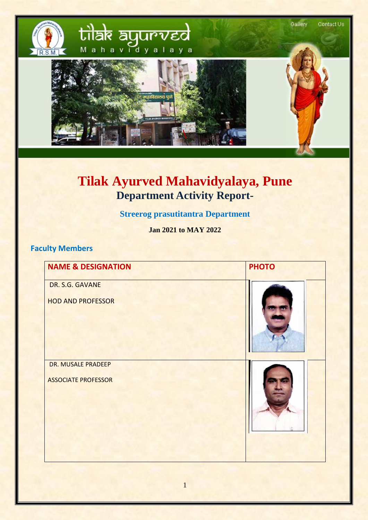

# **Tilak Ayurved Mahavidyalaya, Pune Department Activity Report-**

#### **Streerog prasutitantra Department**

**Jan 2021 to MAY 2022**

#### **Faculty Members**

| <b>NAME &amp; DESIGNATION</b> | <b>PHOTO</b> |
|-------------------------------|--------------|
| DR. S.G. GAVANE               |              |
| <b>HOD AND PROFESSOR</b>      |              |
| DR. MUSALE PRADEEP            |              |
| <b>ASSOCIATE PROFESSOR</b>    |              |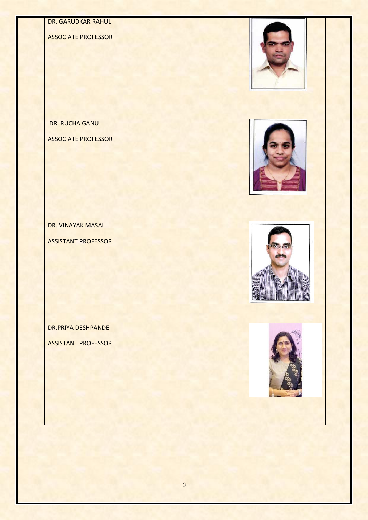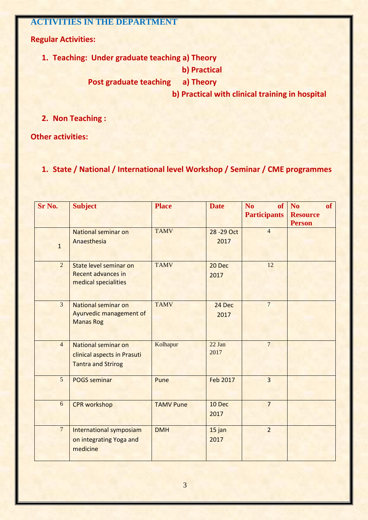#### **ACTIVITIES IN THE DEPARTMENT**

**Regular Activities:**

**1. Teaching: Under graduate teaching a) Theory**

 **b) Practical**

 **Post graduate teaching a) Theory**

 **b) Practical with clinical training in hospital**

**2. Non Teaching :**

**Other activities:**

**1. State / National / International level Workshop / Seminar / CME programmes** 

| Sr No.         | <b>Subject</b>                                                                         | <b>Place</b>     | <b>Date</b>         | <b>of</b><br>N <sub>o</sub><br><b>Participants</b> | of<br><b>No</b><br><b>Resource</b><br><b>Person</b> |
|----------------|----------------------------------------------------------------------------------------|------------------|---------------------|----------------------------------------------------|-----------------------------------------------------|
| $\mathbf 1$    | <b>National seminar on</b><br>Anaesthesia                                              | <b>TAMV</b>      | 28 - 29 Oct<br>2017 | $\overline{4}$                                     |                                                     |
| $\overline{2}$ | State level seminar on<br><b>Recent advances in</b><br>medical specialities            | <b>TAMV</b>      | 20 Dec<br>2017      | 12                                                 |                                                     |
| $\overline{3}$ | <b>National seminar on</b><br>Ayurvedic management of<br><b>Manas Rog</b>              | <b>TAMV</b>      | 24 Dec<br>2017      | $\overline{7}$                                     |                                                     |
| $\overline{4}$ | <b>National seminar on</b><br>clinical aspects in Prasuti<br><b>Tantra and Strirog</b> | Kolhapur         | $22$ Jan<br>2017    | $\overline{7}$                                     |                                                     |
| 5              | <b>POGS seminar</b>                                                                    | Pune             | <b>Feb 2017</b>     | $\overline{3}$                                     |                                                     |
| 6              | <b>CPR</b> workshop                                                                    | <b>TAMV Pune</b> | 10 Dec<br>2017      | $\overline{7}$                                     |                                                     |
| $\overline{7}$ | International symposiam<br>on integrating Yoga and<br>medicine                         | <b>DMH</b>       | 15 jan<br>2017      | $\overline{2}$                                     |                                                     |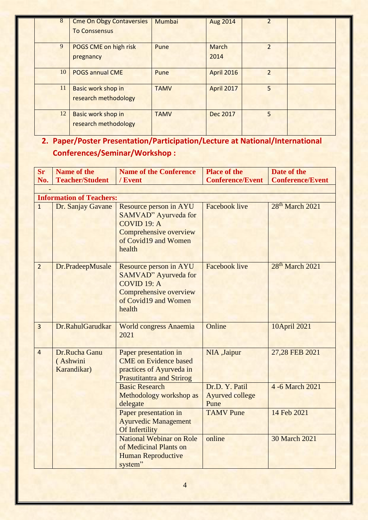| 8  | <b>Cme On Obgy Contaversies</b> | <b>Mumbai</b> | Aug 2014          |                |  |
|----|---------------------------------|---------------|-------------------|----------------|--|
|    | <b>To Conssensus</b>            |               |                   |                |  |
|    |                                 |               |                   |                |  |
| 9  | POGS CME on high risk           | Pune          | March             | $\overline{2}$ |  |
|    | pregnancy                       |               | 2014              |                |  |
| 10 | <b>POGS annual CME</b>          | Pune          | <b>April 2016</b> | $\overline{2}$ |  |
|    |                                 |               |                   |                |  |
| 11 | Basic work shop in              | <b>TAMV</b>   | <b>April 2017</b> | 5              |  |
|    | research methodology            |               |                   |                |  |
| 12 | Basic work shop in              | <b>TAMV</b>   | Dec 2017          | $\overline{5}$ |  |
|    | research methodology            |               |                   |                |  |

## **2. Paper/Poster Presentation/Participation/Lecture at National/International Conferences/Seminar/Workshop :**

| <b>Sr</b>      | <b>Name of the</b>                       | <b>Name of the Conference</b>                                                                                                       | <b>Place of the</b>                              | Date of the                 |  |  |  |
|----------------|------------------------------------------|-------------------------------------------------------------------------------------------------------------------------------------|--------------------------------------------------|-----------------------------|--|--|--|
| No.            | <b>Teacher/Student</b>                   | / Event                                                                                                                             | <b>Conference/Event</b>                          | <b>Conference/Event</b>     |  |  |  |
|                | <b>Information of Teachers:</b>          |                                                                                                                                     |                                                  |                             |  |  |  |
| $\overline{1}$ |                                          | Resource person in AYU                                                                                                              | <b>Facebook live</b>                             | 28 <sup>th</sup> March 2021 |  |  |  |
|                | Dr. Sanjay Gavane                        | SAMVAD" Ayurveda for<br>COVID 19: A<br>Comprehensive overview<br>of Covid19 and Women<br>health                                     |                                                  |                             |  |  |  |
| $\overline{2}$ | Dr.PradeepMusale                         | Resource person in AYU<br><b>SAMVAD</b> " Ayurveda for<br>$COVID$ 19: A<br>Comprehensive overview<br>of Covid19 and Women<br>health | <b>Facebook live</b>                             | 28 <sup>th</sup> March 2021 |  |  |  |
| $\overline{3}$ | Dr.RahulGarudkar                         | <b>World congress Anaemia</b><br>2021                                                                                               | Online                                           | 10April 2021                |  |  |  |
| $\overline{4}$ | Dr.Rucha Ganu<br>(Ashwini<br>Karandikar) | Paper presentation in<br><b>CME</b> on Evidence based<br>practices of Ayurveda in<br><b>Prasutitantra and Strirog</b>               | NIA ,Jaipur                                      | 27,28 FEB 2021              |  |  |  |
|                |                                          | <b>Basic Research</b><br>Methodology workshop as<br>delegate                                                                        | Dr.D. Y. Patil<br><b>Ayurved college</b><br>Pune | 4 -6 March 2021             |  |  |  |
|                |                                          | Paper presentation in<br><b>Ayurvedic Management</b><br>Of Infertility                                                              | <b>TAMV</b> Pune                                 | 14 Feb 2021                 |  |  |  |
|                |                                          | <b>National Webinar on Role</b><br>of Medicinal Plants on<br><b>Human Reproductive</b><br>system"                                   | online                                           | <b>30 March 2021</b>        |  |  |  |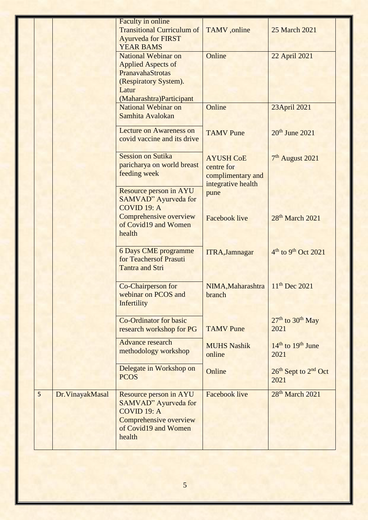|   |                  | Faculty in online                 |                       |                                              |
|---|------------------|-----------------------------------|-----------------------|----------------------------------------------|
|   |                  | <b>Transitional Curriculum of</b> | TAMV ,online          | 25 March 2021                                |
|   |                  | <b>Ayurveda for FIRST</b>         |                       |                                              |
|   |                  | <b>YEAR BAMS</b>                  |                       |                                              |
|   |                  | <b>National Webinar on</b>        | Online                | 22 April 2021                                |
|   |                  | <b>Applied Aspects of</b>         |                       |                                              |
|   |                  | PranavahaStrotas                  |                       |                                              |
|   |                  |                                   |                       |                                              |
|   |                  | (Respiratory System).<br>Latur    |                       |                                              |
|   |                  |                                   |                       |                                              |
|   |                  | (Maharashtra)Participant          |                       |                                              |
|   |                  | <b>National Webinar on</b>        | Online                | 23April 2021                                 |
|   |                  | Samhita Avalokan                  |                       |                                              |
|   |                  | <b>Lecture on Awareness on</b>    |                       |                                              |
|   |                  | covid vaccine and its drive       | <b>TAMV</b> Pune      | $20th$ June $2021$                           |
|   |                  |                                   |                       |                                              |
|   |                  |                                   |                       |                                              |
|   |                  | <b>Session on Sutika</b>          | <b>AYUSH CoE</b>      | 7 <sup>th</sup> August 2021                  |
|   |                  | paricharya on world breast        | centre for            |                                              |
|   |                  | feeding week                      | complimentary and     |                                              |
|   |                  |                                   | integrative health    |                                              |
|   |                  | Resource person in AYU            | pune                  |                                              |
|   |                  | SAMVAD" Ayurveda for              |                       |                                              |
|   |                  | COVID 19: A                       |                       |                                              |
|   |                  | Comprehensive overview            | <b>Facebook live</b>  | 28 <sup>th</sup> March 2021                  |
|   |                  | of Covid19 and Women              |                       |                                              |
|   |                  | health                            |                       |                                              |
|   |                  |                                   |                       |                                              |
|   |                  | <b>6 Days CME programme</b>       | <b>ITRA, Jamnagar</b> | 4 <sup>th</sup> to 9 <sup>th</sup> Oct 2021  |
|   |                  | for Teachersof Prasuti            |                       |                                              |
|   |                  | <b>Tantra and Stri</b>            |                       |                                              |
|   |                  |                                   |                       |                                              |
|   |                  |                                   |                       |                                              |
|   |                  | Co-Chairperson for                | NIMA, Maharashtra     | $11^{th}$ Dec 2021                           |
|   |                  | webinar on PCOS and               | branch                |                                              |
|   |                  | Infertility                       |                       |                                              |
|   |                  |                                   |                       |                                              |
|   |                  | <b>Co-Ordinator for basic</b>     |                       | 27 <sup>th</sup> to 30 <sup>th</sup> May     |
|   |                  | research workshop for PG          | <b>TAMV</b> Pune      | 2021                                         |
|   |                  | Advance research                  |                       |                                              |
|   |                  |                                   | <b>MUHS Nashik</b>    | $14th$ to $19th$ June                        |
|   |                  | methodology workshop              | online                | 2021                                         |
|   |                  |                                   |                       |                                              |
|   |                  | Delegate in Workshop on           | Online                | 26 <sup>th</sup> Sept to 2 <sup>nd</sup> Oct |
|   |                  | <b>PCOS</b>                       |                       | 2021                                         |
|   |                  |                                   |                       |                                              |
| 5 | Dr. VinayakMasal | Resource person in AYU            | <b>Facebook live</b>  | 28 <sup>th</sup> March 2021                  |
|   |                  | <b>SAMVAD</b> " Ayurveda for      |                       |                                              |
|   |                  | COVID 19: A                       |                       |                                              |
|   |                  | Comprehensive overview            |                       |                                              |
|   |                  | of Covid19 and Women              |                       |                                              |
|   |                  | health                            |                       |                                              |
|   |                  |                                   |                       |                                              |
|   |                  |                                   |                       |                                              |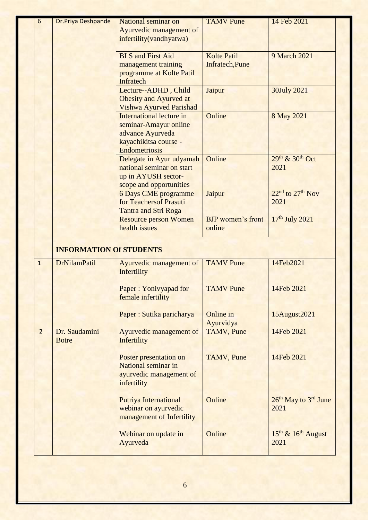| $\overline{6}$ | <b>Dr.Priya Deshpande</b>      | National seminar on<br>Ayurvedic management of<br>infertility(vandhyatwa)                                              | <b>TAMV</b> Pune                      | 14 Feb 2021                                          |
|----------------|--------------------------------|------------------------------------------------------------------------------------------------------------------------|---------------------------------------|------------------------------------------------------|
|                |                                | <b>BLS</b> and First Aid<br>management training<br>programme at Kolte Patil<br>Infratech                               | <b>Kolte Patil</b><br>Infratech, Pune | 9 March 2021                                         |
|                |                                | Lecture--ADHD, Child<br>Obesity and Ayurved at<br>Vishwa Ayurved Parishad                                              | Jaipur                                | 30July 2021                                          |
|                |                                | <b>International lecture in</b><br>seminar-Amayur online<br>advance Ayurveda<br>kayachikitsa course -<br>Endometriosis | Online                                | 8 May 2021                                           |
|                |                                | Delegate in Ayur udyamah<br>national seminar on start<br>up in AYUSH sector-<br>scope and opportunities                | Online                                | $29th$ & $30th$ Oct<br>2021                          |
|                |                                | <b>6 Days CME programme</b><br>for Teachersof Prasuti<br><b>Tantra and Stri Roga</b>                                   | Jaipur                                | $22nd$ to $27th$ Nov<br>2021                         |
|                |                                | <b>Resource person Women</b><br>health issues                                                                          | <b>BJP</b> women's front<br>online    | 17th July 2021                                       |
|                | <b>INFORMATION Of STUDENTS</b> |                                                                                                                        |                                       |                                                      |
| $\overline{1}$ | <b>DrNilamPatil</b>            | Ayurvedic management of<br>Infertility                                                                                 | <b>TAMV</b> Pune                      | 14Feb2021                                            |
|                |                                | Paper: Yonivyapad for<br>female infertility                                                                            | <b>TAMV</b> Pune                      | 14Feb 2021                                           |
|                |                                | Paper: Sutika paricharya                                                                                               | Online in<br>Ayurvidya                | 15August2021                                         |
| $\overline{2}$ | Dr. Saudamini<br><b>Botre</b>  | Ayurvedic management of<br>Infertility                                                                                 | TAMV, Pune                            | 14Feb 2021                                           |
|                |                                | Poster presentation on<br>National seminar in<br>ayurvedic management of<br>infertility                                | TAMV, Pune                            | 14Feb 2021                                           |
|                |                                | <b>Putriya International</b><br>webinar on ayurvedic<br>management of Infertility                                      | Online                                | 26 <sup>th</sup> May to 3 <sup>rd</sup> June<br>2021 |
|                |                                | Webinar on update in<br>Ayurveda                                                                                       | Online                                | $15^{th}$ & $16^{th}$ August<br>2021                 |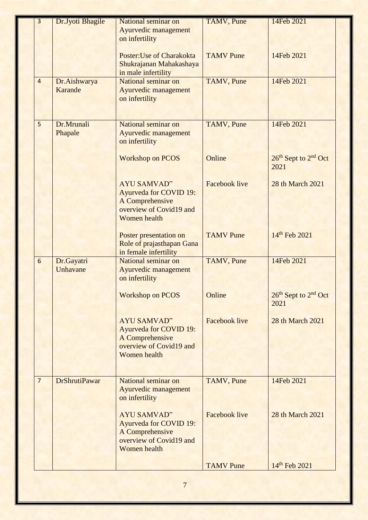| 3              | Dr.Jyoti Bhagile     | National seminar on                     | <b>TAMV</b> , Pune   | 14Feb 2021                                   |
|----------------|----------------------|-----------------------------------------|----------------------|----------------------------------------------|
|                |                      | Ayurvedic management                    |                      |                                              |
|                |                      | on infertility                          |                      |                                              |
|                |                      |                                         |                      |                                              |
|                |                      | Poster: Use of Charakokta               | <b>TAMV</b> Pune     | 14Feb 2021                                   |
|                |                      | Shukrajanan Mahakashaya                 |                      |                                              |
|                |                      | in male infertility                     |                      |                                              |
| $\overline{4}$ | Dr.Aishwarya         | National seminar on                     | TAMV, Pune           | 14Feb 2021                                   |
|                | <b>Karande</b>       | Ayurvedic management                    |                      |                                              |
|                |                      | on infertility                          |                      |                                              |
|                |                      |                                         |                      |                                              |
| 5              | Dr.Mrunali           | National seminar on                     | <b>TAMV</b> , Pune   | 14Feb 2021                                   |
|                | Phapale              | Ayurvedic management                    |                      |                                              |
|                |                      | on infertility                          |                      |                                              |
|                |                      |                                         |                      |                                              |
|                |                      | <b>Workshop on PCOS</b>                 | Online               | 26 <sup>th</sup> Sept to 2 <sup>nd</sup> Oct |
|                |                      |                                         |                      | 2021                                         |
|                |                      |                                         |                      |                                              |
|                |                      | <b>AYU SAMVAD"</b>                      | <b>Facebook live</b> | 28 th March 2021                             |
|                |                      | <b>Ayurveda for COVID 19:</b>           |                      |                                              |
|                |                      | A Comprehensive                         |                      |                                              |
|                |                      | overview of Covid19 and<br>Women health |                      |                                              |
|                |                      |                                         |                      |                                              |
|                |                      | Poster presentation on                  | <b>TAMV</b> Pune     | 14th Feb 2021                                |
|                |                      | Role of prajasthapan Gana               |                      |                                              |
|                |                      | in female infertility                   |                      |                                              |
| 6              | Dr.Gayatri           | National seminar on                     | <b>TAMV</b> , Pune   | 14Feb 2021                                   |
|                | Unhavane             | Ayurvedic management                    |                      |                                              |
|                |                      | on infertility                          |                      |                                              |
|                |                      |                                         |                      |                                              |
|                |                      | <b>Workshop on PCOS</b>                 | Online               | 26 <sup>th</sup> Sept to 2 <sup>nd</sup> Oct |
|                |                      |                                         |                      | 2021                                         |
|                |                      | <b>AYU SAMVAD"</b>                      | <b>Facebook live</b> | 28 th March 2021                             |
|                |                      | <b>Ayurveda for COVID 19:</b>           |                      |                                              |
|                |                      | A Comprehensive                         |                      |                                              |
|                |                      | overview of Covid19 and                 |                      |                                              |
|                |                      | Women health                            |                      |                                              |
|                |                      |                                         |                      |                                              |
|                |                      |                                         |                      |                                              |
| $\overline{7}$ | <b>DrShrutiPawar</b> | National seminar on                     | TAMV, Pune           | 14Feb 2021                                   |
|                |                      | Ayurvedic management                    |                      |                                              |
|                |                      | on infertility                          |                      |                                              |
|                |                      | <b>AYU SAMVAD"</b>                      | <b>Facebook live</b> | 28 th March 2021                             |
|                |                      | <b>Ayurveda for COVID 19:</b>           |                      |                                              |
|                |                      | A Comprehensive                         |                      |                                              |
|                |                      | overview of Covid19 and                 |                      |                                              |
|                |                      | <b>Women</b> health                     |                      |                                              |
|                |                      |                                         |                      |                                              |
|                |                      |                                         | <b>TAMV</b> Pune     | 14th Feb 2021                                |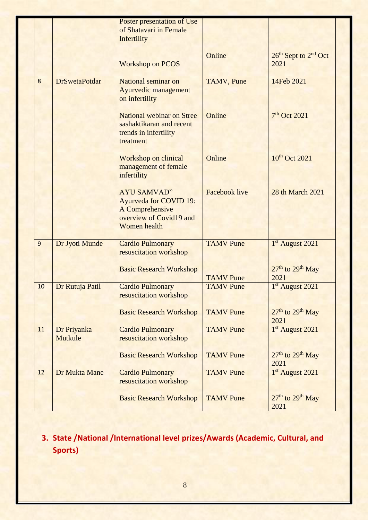|    |                      | Poster presentation of Use       |                      |                                              |
|----|----------------------|----------------------------------|----------------------|----------------------------------------------|
|    |                      | of Shatavari in Female           |                      |                                              |
|    |                      |                                  |                      |                                              |
|    |                      | Infertility                      |                      |                                              |
|    |                      |                                  |                      |                                              |
|    |                      |                                  | Online               | 26 <sup>th</sup> Sept to 2 <sup>nd</sup> Oct |
|    |                      | <b>Workshop on PCOS</b>          |                      | 2021                                         |
|    |                      |                                  |                      |                                              |
| 8  | <b>DrSwetaPotdar</b> | National seminar on              | TAMV, Pune           | 14Feb 2021                                   |
|    |                      | Ayurvedic management             |                      |                                              |
|    |                      | on infertility                   |                      |                                              |
|    |                      |                                  |                      |                                              |
|    |                      | <b>National webinar on Stree</b> | Online               | 7 <sup>th</sup> Oct 2021                     |
|    |                      | sashaktikaran and recent         |                      |                                              |
|    |                      | trends in infertility            |                      |                                              |
|    |                      |                                  |                      |                                              |
|    |                      | treatment                        |                      |                                              |
|    |                      |                                  | Online               | 10 <sup>th</sup> Oct 2021                    |
|    |                      | <b>Workshop on clinical</b>      |                      |                                              |
|    |                      | management of female             |                      |                                              |
|    |                      | infertility                      |                      |                                              |
|    |                      |                                  |                      |                                              |
|    |                      | <b>AYU SAMVAD"</b>               | <b>Facebook live</b> | 28 th March 2021                             |
|    |                      | <b>Ayurveda for COVID 19:</b>    |                      |                                              |
|    |                      | A Comprehensive                  |                      |                                              |
|    |                      | overview of Covid19 and          |                      |                                              |
|    |                      | <b>Women</b> health              |                      |                                              |
|    |                      |                                  |                      |                                              |
| 9  | Dr Jyoti Munde       | <b>Cardio Pulmonary</b>          | <b>TAMV</b> Pune     | 1st August 2021                              |
|    |                      | resuscitation workshop           |                      |                                              |
|    |                      |                                  |                      |                                              |
|    |                      | <b>Basic Research Workshop</b>   |                      | $27th$ to $29th$ May                         |
|    |                      |                                  | <b>TAMV</b> Pune     | 2021                                         |
| 10 | Dr Rutuja Patil      | <b>Cardio Pulmonary</b>          | <b>TAMV</b> Pune     | 1st August 2021                              |
|    |                      |                                  |                      |                                              |
|    |                      | resuscitation workshop           |                      |                                              |
|    |                      |                                  |                      |                                              |
|    |                      | <b>Basic Research Workshop</b>   | <b>TAMV</b> Pune     | $27th$ to $29th$ May                         |
|    |                      |                                  |                      | 2021                                         |
| 11 | Dr Priyanka          | <b>Cardio Pulmonary</b>          | <b>TAMV</b> Pune     | 1st August 2021                              |
|    | Mutkule              | resuscitation workshop           |                      |                                              |
|    |                      |                                  |                      |                                              |
|    |                      | <b>Basic Research Workshop</b>   | <b>TAMV</b> Pune     | 27 <sup>th</sup> to 29 <sup>th</sup> May     |
|    |                      |                                  |                      | 2021                                         |
| 12 | Dr Mukta Mane        | <b>Cardio Pulmonary</b>          | <b>TAMV</b> Pune     | 1st August 2021                              |
|    |                      | resuscitation workshop           |                      |                                              |
|    |                      |                                  |                      |                                              |
|    |                      | <b>Basic Research Workshop</b>   | <b>TAMV</b> Pune     | 27 <sup>th</sup> to 29 <sup>th</sup> May     |
|    |                      |                                  |                      | 2021                                         |
|    |                      |                                  |                      |                                              |

#### **3. State /National /International level prizes/Awards (Academic, Cultural, and Sports)**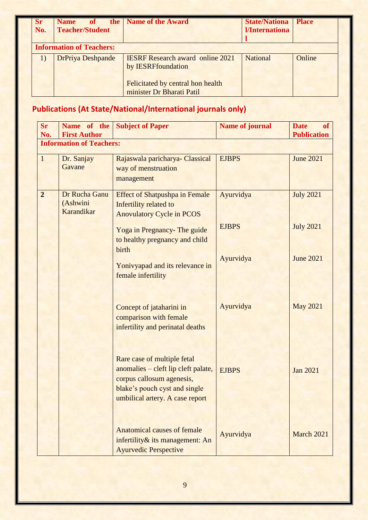| Sr<br>No. | of<br><b>Name</b><br><b>Teacher/Student</b> | the   Name of the Award                                              | <b>State/Nationa</b><br>l/Internationa | <b>Place</b> |
|-----------|---------------------------------------------|----------------------------------------------------------------------|----------------------------------------|--------------|
|           | <b>Information of Teachers:</b>             |                                                                      |                                        |              |
|           | <b>DrPriya Deshpande</b>                    | <b>IESRF</b> Research award online 2021<br>by <b>IESRFfoundation</b> | National                               | Online       |
|           |                                             | Felicitated by central hon health<br>minister Dr Bharati Patil       |                                        |              |

## **Publications (At State/National/International journals only)**

| <b>Sr</b><br>No. | Name of the<br><b>First Author</b>      | <b>Subject of Paper</b>                                                                                                                                             | <b>Name of journal</b> | of<br><b>Date</b><br><b>Publication</b> |
|------------------|-----------------------------------------|---------------------------------------------------------------------------------------------------------------------------------------------------------------------|------------------------|-----------------------------------------|
|                  | <b>Information of Teachers:</b>         |                                                                                                                                                                     |                        |                                         |
| $\mathbf{1}$     | Dr. Sanjay<br>Gavane                    | Rajaswala paricharya- Classical<br>way of menstruation<br>management                                                                                                | <b>EJBPS</b>           | <b>June 2021</b>                        |
| $\overline{2}$   | Dr Rucha Ganu<br>(Ashwini<br>Karandikar | <b>Effect of Shatpushpa in Female</b><br>Infertility related to<br><b>Anovulatory Cycle in PCOS</b>                                                                 | Ayurvidya              | <b>July 2021</b>                        |
|                  |                                         | Yoga in Pregnancy- The guide<br>to healthy pregnancy and child<br>birth                                                                                             | <b>EJBPS</b>           | <b>July 2021</b>                        |
|                  |                                         | Yonivyapad and its relevance in<br>female infertility                                                                                                               | Ayurvidya              | <b>June 2021</b>                        |
|                  |                                         | Concept of jataharini in<br>comparison with female<br>infertility and perinatal deaths                                                                              | Ayurvidya              | <b>May 2021</b>                         |
|                  |                                         | Rare case of multiple fetal<br>anomalies - cleft lip cleft palate,<br>corpus callosum agenesis,<br>blake's pouch cyst and single<br>umbilical artery. A case report | <b>EJBPS</b>           | <b>Jan 2021</b>                         |
|                  |                                         | <b>Anatomical causes of female</b><br>infertility & its management: An<br><b>Ayurvedic Perspective</b>                                                              | Ayurvidya              | March 2021                              |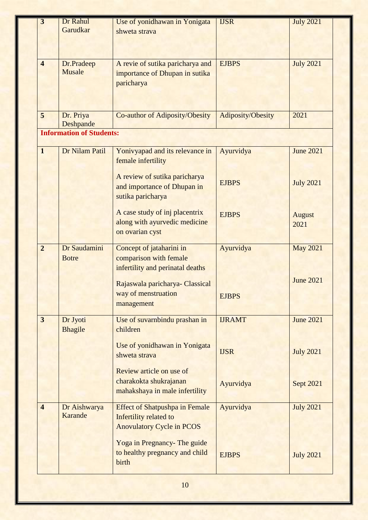| $\overline{3}$          | Dr Rahul                        | Use of yonidhawan in Yonigata         | <b>IJSR</b>       | <b>July 2021</b> |
|-------------------------|---------------------------------|---------------------------------------|-------------------|------------------|
|                         | Garudkar                        | shweta strava                         |                   |                  |
|                         |                                 |                                       |                   |                  |
|                         |                                 |                                       |                   |                  |
|                         |                                 |                                       |                   |                  |
| $\overline{\mathbf{4}}$ | Dr.Pradeep                      | A revie of sutika paricharya and      | <b>EJBPS</b>      | <b>July 2021</b> |
|                         | Musale                          | importance of Dhupan in sutika        |                   |                  |
|                         |                                 | paricharya                            |                   |                  |
|                         |                                 |                                       |                   |                  |
|                         |                                 |                                       |                   |                  |
|                         |                                 |                                       |                   |                  |
| 5                       | Dr. Priya                       | Co-author of Adiposity/Obesity        | Adiposity/Obesity | 2021             |
|                         | Deshpande                       |                                       |                   |                  |
|                         | <b>Information of Students:</b> |                                       |                   |                  |
|                         |                                 |                                       |                   |                  |
| $\mathbf{1}$            | Dr Nilam Patil                  | Yonivyapad and its relevance in       | Ayurvidya         | <b>June 2021</b> |
|                         |                                 | female infertility                    |                   |                  |
|                         |                                 |                                       |                   |                  |
|                         |                                 | A review of sutika paricharya         | <b>EJBPS</b>      | <b>July 2021</b> |
|                         |                                 | and importance of Dhupan in           |                   |                  |
|                         |                                 | sutika paricharya                     |                   |                  |
|                         |                                 |                                       |                   |                  |
|                         |                                 | A case study of inj placentrix        | <b>EJBPS</b>      | <b>August</b>    |
|                         |                                 | along with ayurvedic medicine         |                   | 2021             |
|                         |                                 | on ovarian cyst                       |                   |                  |
|                         |                                 |                                       |                   |                  |
| $\overline{2}$          | Dr Saudamini                    | Concept of jataharini in              | Ayurvidya         | <b>May 2021</b>  |
|                         | <b>Botre</b>                    | comparison with female                |                   |                  |
|                         |                                 | infertility and perinatal deaths      |                   |                  |
|                         |                                 |                                       |                   | <b>June 2021</b> |
|                         |                                 | Rajaswala paricharya- Classical       |                   |                  |
|                         |                                 | way of menstruation                   | <b>EJBPS</b>      |                  |
|                         |                                 | management                            |                   |                  |
|                         |                                 |                                       |                   |                  |
| $\overline{\mathbf{3}}$ | Dr Jyoti                        | Use of suvarnbindu prashan in         | <b>IJRAMT</b>     | <b>June 2021</b> |
|                         | <b>Bhagile</b>                  | children                              |                   |                  |
|                         |                                 |                                       |                   |                  |
|                         |                                 | Use of yonidhawan in Yonigata         | <b>IJSR</b>       | <b>July 2021</b> |
|                         |                                 | shweta strava                         |                   |                  |
|                         |                                 | Review article on use of              |                   |                  |
|                         |                                 | charakokta shukrajanan                |                   |                  |
|                         |                                 |                                       | Ayurvidya         | Sept 2021        |
|                         |                                 | mahakshaya in male infertility        |                   |                  |
| $\overline{\mathbf{4}}$ | Dr Aishwarya                    | <b>Effect of Shatpushpa in Female</b> | Ayurvidya         | <b>July 2021</b> |
|                         | Karande                         | Infertility related to                |                   |                  |
|                         |                                 |                                       |                   |                  |
|                         |                                 | <b>Anovulatory Cycle in PCOS</b>      |                   |                  |
|                         |                                 | Yoga in Pregnancy- The guide          |                   |                  |
|                         |                                 | to healthy pregnancy and child        |                   |                  |
|                         |                                 |                                       | <b>EJBPS</b>      | <b>July 2021</b> |
|                         |                                 | birth                                 |                   |                  |
|                         |                                 |                                       |                   |                  |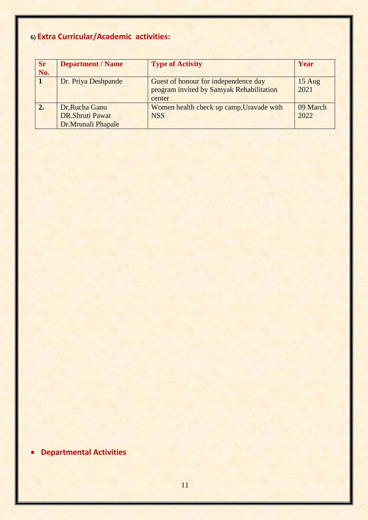## **6) Extra Curricular/Academic activities:**

| <b>Sr</b><br>No. | <b>Department / Name</b>                                       | <b>Type of Activity</b>                                                                    | Year                     |
|------------------|----------------------------------------------------------------|--------------------------------------------------------------------------------------------|--------------------------|
|                  | Dr. Priya Deshpande                                            | Guest of honour for independence day<br>program invited by Samyak Rehabilitation<br>center | $15 \text{ Aug}$<br>2021 |
| 2.               | Dr, Rucha Ganu<br><b>DR.Shruti Pawar</b><br>Dr.Mrunali Phapale | Women health check up camp, Uravade with<br><b>NSS</b>                                     | 09 March<br>2022         |

**Departmental Activities**